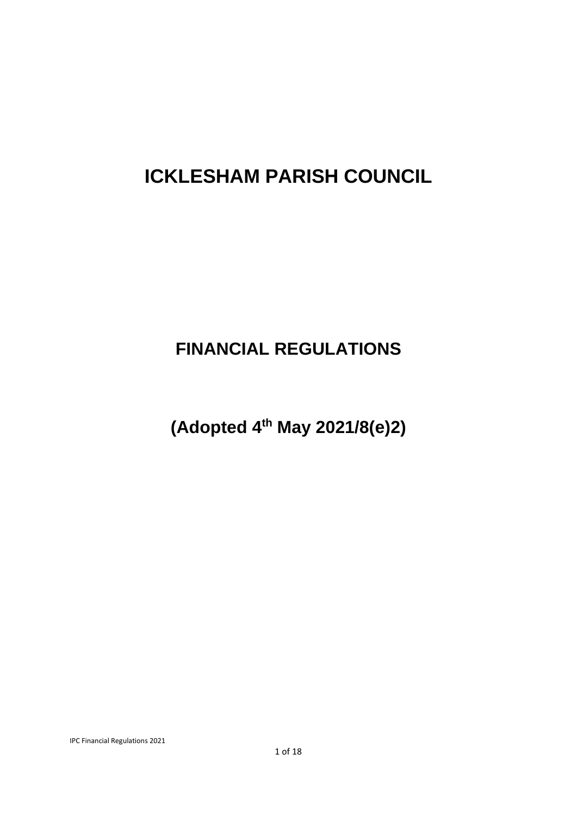# **ICKLESHAM PARISH COUNCIL**

# **FINANCIAL REGULATIONS**

**(Adopted 4th May 2021/8(e)2)**

IPC Financial Regulations 2021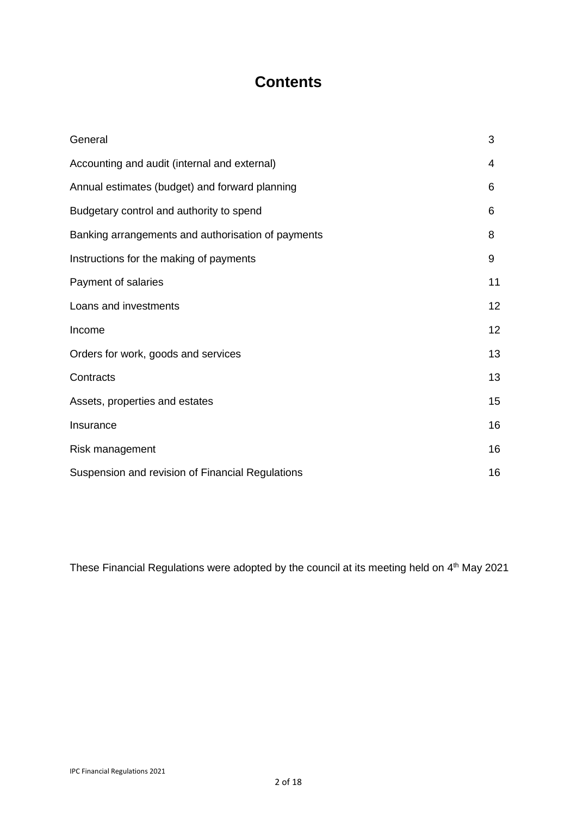# **Contents**

| General                                            | 3  |
|----------------------------------------------------|----|
| Accounting and audit (internal and external)       | 4  |
| Annual estimates (budget) and forward planning     | 6  |
| Budgetary control and authority to spend           | 6  |
| Banking arrangements and authorisation of payments | 8  |
| Instructions for the making of payments            | 9  |
| Payment of salaries                                | 11 |
| Loans and investments                              | 12 |
| Income                                             | 12 |
| Orders for work, goods and services                | 13 |
| Contracts                                          | 13 |
| Assets, properties and estates                     | 15 |
| Insurance                                          | 16 |
| Risk management                                    | 16 |
| Suspension and revision of Financial Regulations   | 16 |

These Financial Regulations were adopted by the council at its meeting held on 4<sup>th</sup> May 2021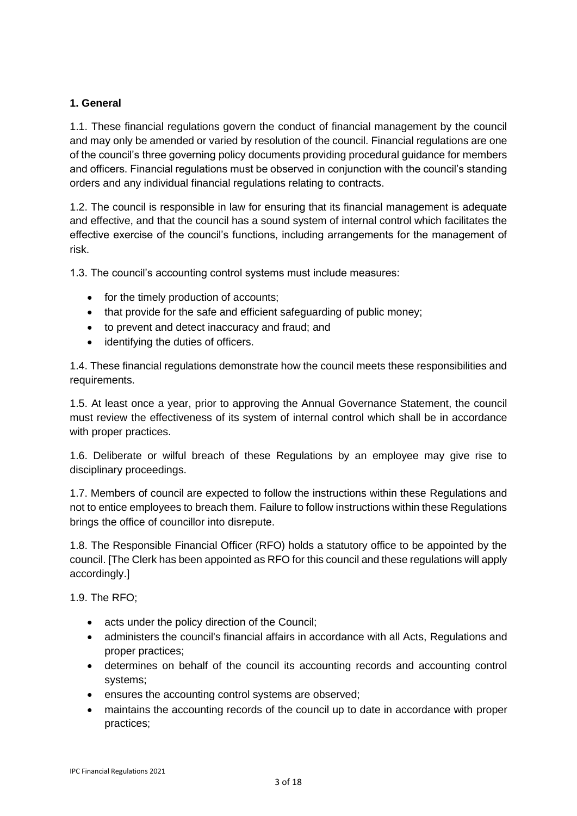# **1. General**

1.1. These financial regulations govern the conduct of financial management by the council and may only be amended or varied by resolution of the council. Financial regulations are one of the council's three governing policy documents providing procedural guidance for members and officers. Financial regulations must be observed in conjunction with the council's standing orders and any individual financial regulations relating to contracts.

1.2. The council is responsible in law for ensuring that its financial management is adequate and effective, and that the council has a sound system of internal control which facilitates the effective exercise of the council's functions, including arrangements for the management of risk.

1.3. The council's accounting control systems must include measures:

- for the timely production of accounts;
- that provide for the safe and efficient safeguarding of public money;
- to prevent and detect inaccuracy and fraud; and
- identifying the duties of officers.

1.4. These financial regulations demonstrate how the council meets these responsibilities and requirements.

1.5. At least once a year, prior to approving the Annual Governance Statement, the council must review the effectiveness of its system of internal control which shall be in accordance with proper practices.

1.6. Deliberate or wilful breach of these Regulations by an employee may give rise to disciplinary proceedings.

1.7. Members of council are expected to follow the instructions within these Regulations and not to entice employees to breach them. Failure to follow instructions within these Regulations brings the office of councillor into disrepute.

1.8. The Responsible Financial Officer (RFO) holds a statutory office to be appointed by the council. [The Clerk has been appointed as RFO for this council and these regulations will apply accordingly.]

1.9. The RFO;

- acts under the policy direction of the Council;
- administers the council's financial affairs in accordance with all Acts, Regulations and proper practices;
- determines on behalf of the council its accounting records and accounting control systems;
- ensures the accounting control systems are observed;
- maintains the accounting records of the council up to date in accordance with proper practices;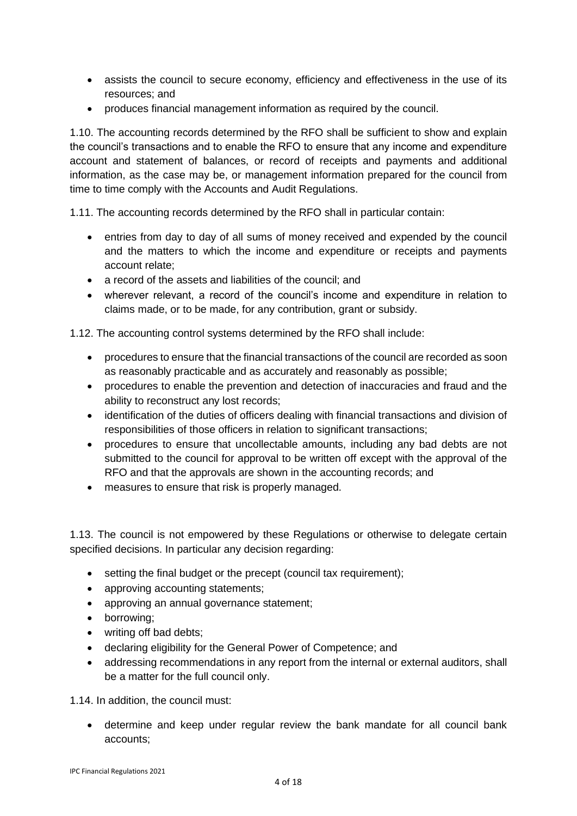- assists the council to secure economy, efficiency and effectiveness in the use of its resources; and
- produces financial management information as required by the council.

1.10. The accounting records determined by the RFO shall be sufficient to show and explain the council's transactions and to enable the RFO to ensure that any income and expenditure account and statement of balances, or record of receipts and payments and additional information, as the case may be, or management information prepared for the council from time to time comply with the Accounts and Audit Regulations.

1.11. The accounting records determined by the RFO shall in particular contain:

- entries from day to day of all sums of money received and expended by the council and the matters to which the income and expenditure or receipts and payments account relate;
- a record of the assets and liabilities of the council: and
- wherever relevant, a record of the council's income and expenditure in relation to claims made, or to be made, for any contribution, grant or subsidy.

1.12. The accounting control systems determined by the RFO shall include:

- procedures to ensure that the financial transactions of the council are recorded as soon as reasonably practicable and as accurately and reasonably as possible;
- procedures to enable the prevention and detection of inaccuracies and fraud and the ability to reconstruct any lost records;
- identification of the duties of officers dealing with financial transactions and division of responsibilities of those officers in relation to significant transactions;
- procedures to ensure that uncollectable amounts, including any bad debts are not submitted to the council for approval to be written off except with the approval of the RFO and that the approvals are shown in the accounting records; and
- measures to ensure that risk is properly managed.

1.13. The council is not empowered by these Regulations or otherwise to delegate certain specified decisions. In particular any decision regarding:

- setting the final budget or the precept (council tax requirement);
- approving accounting statements;
- approving an annual governance statement;
- borrowing;
- writing off bad debts;
- declaring eligibility for the General Power of Competence; and
- addressing recommendations in any report from the internal or external auditors, shall be a matter for the full council only.

1.14. In addition, the council must:

• determine and keep under regular review the bank mandate for all council bank accounts;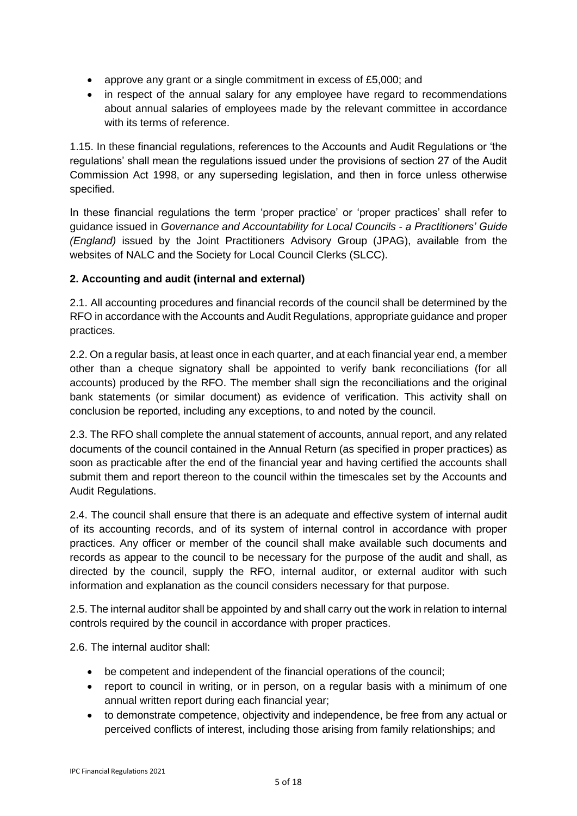- approve any grant or a single commitment in excess of £5,000; and
- in respect of the annual salary for any employee have regard to recommendations about annual salaries of employees made by the relevant committee in accordance with its terms of reference.

1.15. In these financial regulations, references to the Accounts and Audit Regulations or 'the regulations' shall mean the regulations issued under the provisions of section 27 of the Audit Commission Act 1998, or any superseding legislation, and then in force unless otherwise specified.

In these financial regulations the term 'proper practice' or 'proper practices' shall refer to guidance issued in *Governance and Accountability for Local Councils - a Practitioners' Guide (England)* issued by the Joint Practitioners Advisory Group (JPAG), available from the websites of NALC and the Society for Local Council Clerks (SLCC).

# **2. Accounting and audit (internal and external)**

2.1. All accounting procedures and financial records of the council shall be determined by the RFO in accordance with the Accounts and Audit Regulations, appropriate guidance and proper practices.

2.2. On a regular basis, at least once in each quarter, and at each financial year end, a member other than a cheque signatory shall be appointed to verify bank reconciliations (for all accounts) produced by the RFO. The member shall sign the reconciliations and the original bank statements (or similar document) as evidence of verification. This activity shall on conclusion be reported, including any exceptions, to and noted by the council.

2.3. The RFO shall complete the annual statement of accounts, annual report, and any related documents of the council contained in the Annual Return (as specified in proper practices) as soon as practicable after the end of the financial year and having certified the accounts shall submit them and report thereon to the council within the timescales set by the Accounts and Audit Regulations.

2.4. The council shall ensure that there is an adequate and effective system of internal audit of its accounting records, and of its system of internal control in accordance with proper practices. Any officer or member of the council shall make available such documents and records as appear to the council to be necessary for the purpose of the audit and shall, as directed by the council, supply the RFO, internal auditor, or external auditor with such information and explanation as the council considers necessary for that purpose.

2.5. The internal auditor shall be appointed by and shall carry out the work in relation to internal controls required by the council in accordance with proper practices.

2.6. The internal auditor shall:

- be competent and independent of the financial operations of the council;
- report to council in writing, or in person, on a regular basis with a minimum of one annual written report during each financial year;
- to demonstrate competence, objectivity and independence, be free from any actual or perceived conflicts of interest, including those arising from family relationships; and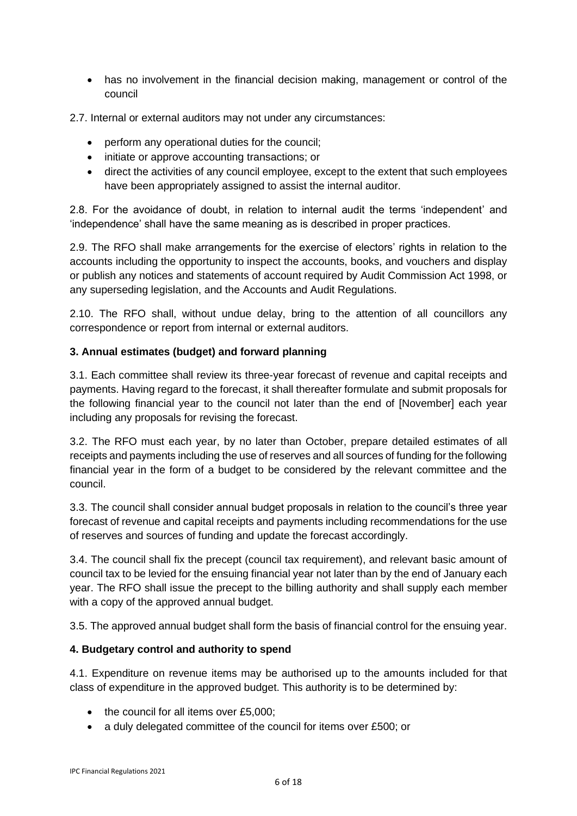• has no involvement in the financial decision making, management or control of the council

2.7. Internal or external auditors may not under any circumstances:

- perform any operational duties for the council;
- initiate or approve accounting transactions; or
- direct the activities of any council employee, except to the extent that such employees have been appropriately assigned to assist the internal auditor.

2.8. For the avoidance of doubt, in relation to internal audit the terms 'independent' and 'independence' shall have the same meaning as is described in proper practices.

2.9. The RFO shall make arrangements for the exercise of electors' rights in relation to the accounts including the opportunity to inspect the accounts, books, and vouchers and display or publish any notices and statements of account required by Audit Commission Act 1998, or any superseding legislation, and the Accounts and Audit Regulations.

2.10. The RFO shall, without undue delay, bring to the attention of all councillors any correspondence or report from internal or external auditors.

# **3. Annual estimates (budget) and forward planning**

3.1. Each committee shall review its three-year forecast of revenue and capital receipts and payments. Having regard to the forecast, it shall thereafter formulate and submit proposals for the following financial year to the council not later than the end of [November] each year including any proposals for revising the forecast.

3.2. The RFO must each year, by no later than October, prepare detailed estimates of all receipts and payments including the use of reserves and all sources of funding for the following financial year in the form of a budget to be considered by the relevant committee and the council.

3.3. The council shall consider annual budget proposals in relation to the council's three year forecast of revenue and capital receipts and payments including recommendations for the use of reserves and sources of funding and update the forecast accordingly.

3.4. The council shall fix the precept (council tax requirement), and relevant basic amount of council tax to be levied for the ensuing financial year not later than by the end of January each year. The RFO shall issue the precept to the billing authority and shall supply each member with a copy of the approved annual budget.

3.5. The approved annual budget shall form the basis of financial control for the ensuing year.

## **4. Budgetary control and authority to spend**

4.1. Expenditure on revenue items may be authorised up to the amounts included for that class of expenditure in the approved budget. This authority is to be determined by:

- the council for all items over £5,000;
- a duly delegated committee of the council for items over £500; or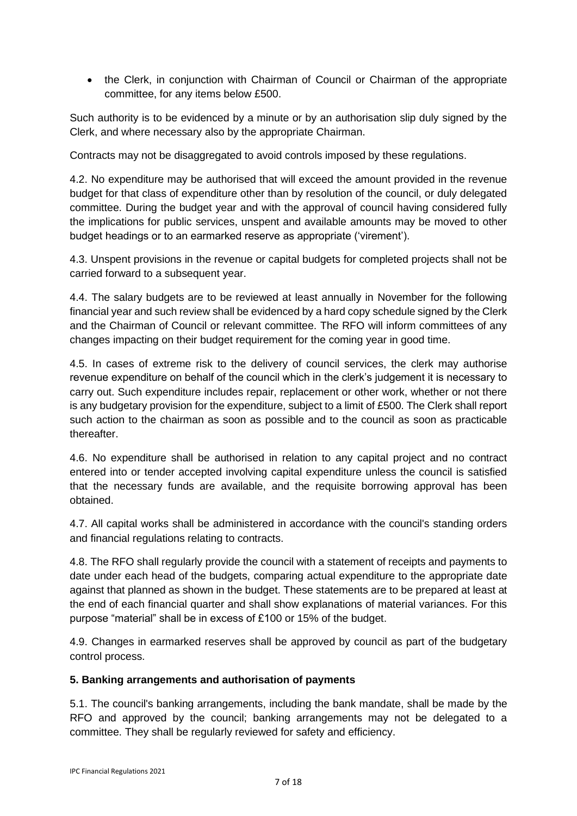• the Clerk, in conjunction with Chairman of Council or Chairman of the appropriate committee, for any items below £500.

Such authority is to be evidenced by a minute or by an authorisation slip duly signed by the Clerk, and where necessary also by the appropriate Chairman.

Contracts may not be disaggregated to avoid controls imposed by these regulations.

4.2. No expenditure may be authorised that will exceed the amount provided in the revenue budget for that class of expenditure other than by resolution of the council, or duly delegated committee. During the budget year and with the approval of council having considered fully the implications for public services, unspent and available amounts may be moved to other budget headings or to an earmarked reserve as appropriate ('virement').

4.3. Unspent provisions in the revenue or capital budgets for completed projects shall not be carried forward to a subsequent year.

4.4. The salary budgets are to be reviewed at least annually in November for the following financial year and such review shall be evidenced by a hard copy schedule signed by the Clerk and the Chairman of Council or relevant committee. The RFO will inform committees of any changes impacting on their budget requirement for the coming year in good time.

4.5. In cases of extreme risk to the delivery of council services, the clerk may authorise revenue expenditure on behalf of the council which in the clerk's judgement it is necessary to carry out. Such expenditure includes repair, replacement or other work, whether or not there is any budgetary provision for the expenditure, subject to a limit of £500. The Clerk shall report such action to the chairman as soon as possible and to the council as soon as practicable thereafter.

4.6. No expenditure shall be authorised in relation to any capital project and no contract entered into or tender accepted involving capital expenditure unless the council is satisfied that the necessary funds are available, and the requisite borrowing approval has been obtained.

4.7. All capital works shall be administered in accordance with the council's standing orders and financial regulations relating to contracts.

4.8. The RFO shall regularly provide the council with a statement of receipts and payments to date under each head of the budgets, comparing actual expenditure to the appropriate date against that planned as shown in the budget. These statements are to be prepared at least at the end of each financial quarter and shall show explanations of material variances. For this purpose "material" shall be in excess of £100 or 15% of the budget.

4.9. Changes in earmarked reserves shall be approved by council as part of the budgetary control process.

## **5. Banking arrangements and authorisation of payments**

5.1. The council's banking arrangements, including the bank mandate, shall be made by the RFO and approved by the council; banking arrangements may not be delegated to a committee. They shall be regularly reviewed for safety and efficiency.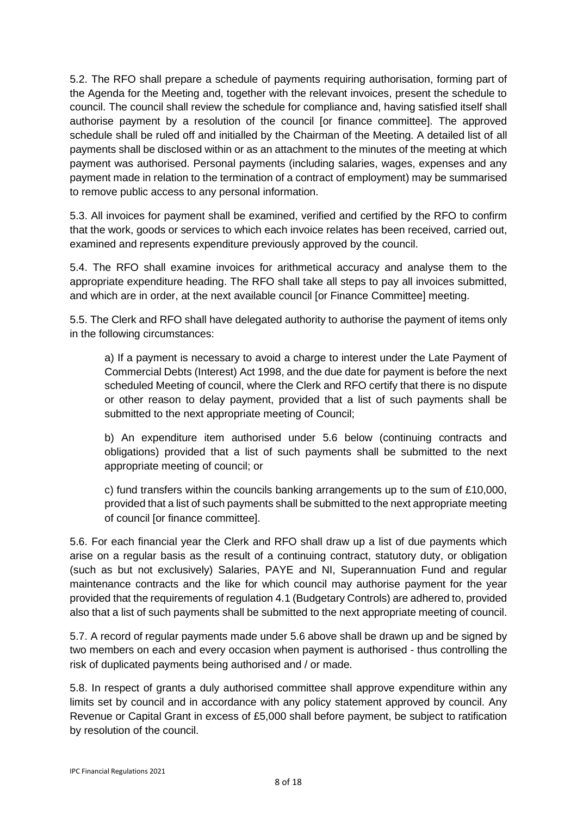5.2. The RFO shall prepare a schedule of payments requiring authorisation, forming part of the Agenda for the Meeting and, together with the relevant invoices, present the schedule to council. The council shall review the schedule for compliance and, having satisfied itself shall authorise payment by a resolution of the council [or finance committee]. The approved schedule shall be ruled off and initialled by the Chairman of the Meeting. A detailed list of all payments shall be disclosed within or as an attachment to the minutes of the meeting at which payment was authorised. Personal payments (including salaries, wages, expenses and any payment made in relation to the termination of a contract of employment) may be summarised to remove public access to any personal information.

5.3. All invoices for payment shall be examined, verified and certified by the RFO to confirm that the work, goods or services to which each invoice relates has been received, carried out, examined and represents expenditure previously approved by the council.

5.4. The RFO shall examine invoices for arithmetical accuracy and analyse them to the appropriate expenditure heading. The RFO shall take all steps to pay all invoices submitted, and which are in order, at the next available council [or Finance Committee] meeting.

5.5. The Clerk and RFO shall have delegated authority to authorise the payment of items only in the following circumstances:

a) If a payment is necessary to avoid a charge to interest under the Late Payment of Commercial Debts (Interest) Act 1998, and the due date for payment is before the next scheduled Meeting of council, where the Clerk and RFO certify that there is no dispute or other reason to delay payment, provided that a list of such payments shall be submitted to the next appropriate meeting of Council;

b) An expenditure item authorised under 5.6 below (continuing contracts and obligations) provided that a list of such payments shall be submitted to the next appropriate meeting of council; or

c) fund transfers within the councils banking arrangements up to the sum of £10,000, provided that a list of such payments shall be submitted to the next appropriate meeting of council [or finance committee].

5.6. For each financial year the Clerk and RFO shall draw up a list of due payments which arise on a regular basis as the result of a continuing contract, statutory duty, or obligation (such as but not exclusively) Salaries, PAYE and NI, Superannuation Fund and regular maintenance contracts and the like for which council may authorise payment for the year provided that the requirements of regulation 4.1 (Budgetary Controls) are adhered to, provided also that a list of such payments shall be submitted to the next appropriate meeting of council.

5.7. A record of regular payments made under 5.6 above shall be drawn up and be signed by two members on each and every occasion when payment is authorised - thus controlling the risk of duplicated payments being authorised and / or made.

5.8. In respect of grants a duly authorised committee shall approve expenditure within any limits set by council and in accordance with any policy statement approved by council. Any Revenue or Capital Grant in excess of £5,000 shall before payment, be subject to ratification by resolution of the council.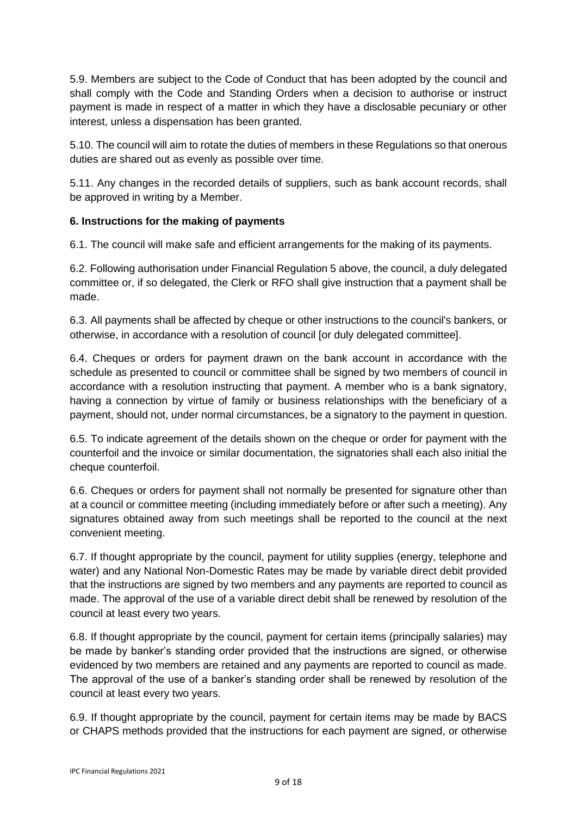5.9. Members are subject to the Code of Conduct that has been adopted by the council and shall comply with the Code and Standing Orders when a decision to authorise or instruct payment is made in respect of a matter in which they have a disclosable pecuniary or other interest, unless a dispensation has been granted.

5.10. The council will aim to rotate the duties of members in these Regulations so that onerous duties are shared out as evenly as possible over time.

5.11. Any changes in the recorded details of suppliers, such as bank account records, shall be approved in writing by a Member.

# **6. Instructions for the making of payments**

6.1. The council will make safe and efficient arrangements for the making of its payments.

6.2. Following authorisation under Financial Regulation 5 above, the council, a duly delegated committee or, if so delegated, the Clerk or RFO shall give instruction that a payment shall be made.

6.3. All payments shall be affected by cheque or other instructions to the council's bankers, or otherwise, in accordance with a resolution of council [or duly delegated committee].

6.4. Cheques or orders for payment drawn on the bank account in accordance with the schedule as presented to council or committee shall be signed by two members of council in accordance with a resolution instructing that payment. A member who is a bank signatory, having a connection by virtue of family or business relationships with the beneficiary of a payment, should not, under normal circumstances, be a signatory to the payment in question.

6.5. To indicate agreement of the details shown on the cheque or order for payment with the counterfoil and the invoice or similar documentation, the signatories shall each also initial the cheque counterfoil.

6.6. Cheques or orders for payment shall not normally be presented for signature other than at a council or committee meeting (including immediately before or after such a meeting). Any signatures obtained away from such meetings shall be reported to the council at the next convenient meeting.

6.7. If thought appropriate by the council, payment for utility supplies (energy, telephone and water) and any National Non-Domestic Rates may be made by variable direct debit provided that the instructions are signed by two members and any payments are reported to council as made. The approval of the use of a variable direct debit shall be renewed by resolution of the council at least every two years.

6.8. If thought appropriate by the council, payment for certain items (principally salaries) may be made by banker's standing order provided that the instructions are signed, or otherwise evidenced by two members are retained and any payments are reported to council as made. The approval of the use of a banker's standing order shall be renewed by resolution of the council at least every two years.

6.9. If thought appropriate by the council, payment for certain items may be made by BACS or CHAPS methods provided that the instructions for each payment are signed, or otherwise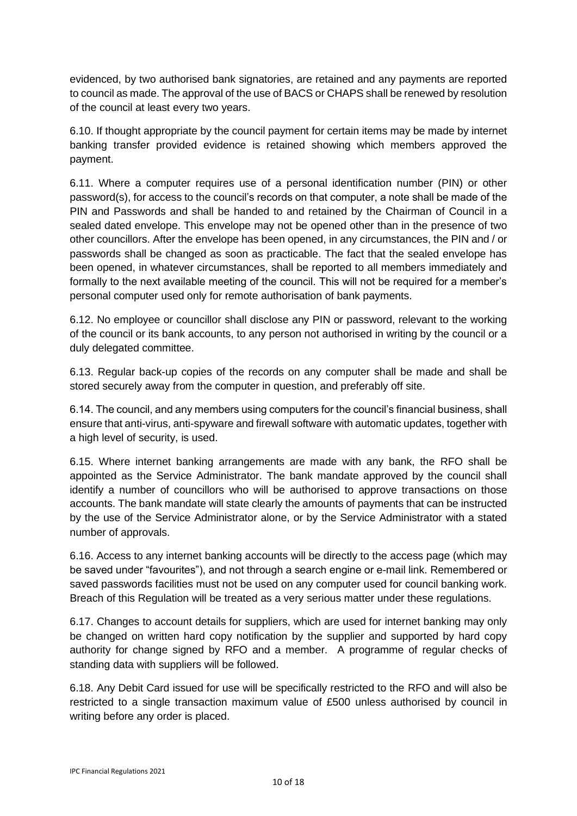evidenced, by two authorised bank signatories, are retained and any payments are reported to council as made. The approval of the use of BACS or CHAPS shall be renewed by resolution of the council at least every two years.

6.10. If thought appropriate by the council payment for certain items may be made by internet banking transfer provided evidence is retained showing which members approved the payment.

6.11. Where a computer requires use of a personal identification number (PIN) or other password(s), for access to the council's records on that computer, a note shall be made of the PIN and Passwords and shall be handed to and retained by the Chairman of Council in a sealed dated envelope. This envelope may not be opened other than in the presence of two other councillors. After the envelope has been opened, in any circumstances, the PIN and / or passwords shall be changed as soon as practicable. The fact that the sealed envelope has been opened, in whatever circumstances, shall be reported to all members immediately and formally to the next available meeting of the council. This will not be required for a member's personal computer used only for remote authorisation of bank payments.

6.12. No employee or councillor shall disclose any PIN or password, relevant to the working of the council or its bank accounts, to any person not authorised in writing by the council or a duly delegated committee.

6.13. Regular back-up copies of the records on any computer shall be made and shall be stored securely away from the computer in question, and preferably off site.

6.14. The council, and any members using computers for the council's financial business, shall ensure that anti-virus, anti-spyware and firewall software with automatic updates, together with a high level of security, is used.

6.15. Where internet banking arrangements are made with any bank, the RFO shall be appointed as the Service Administrator. The bank mandate approved by the council shall identify a number of councillors who will be authorised to approve transactions on those accounts. The bank mandate will state clearly the amounts of payments that can be instructed by the use of the Service Administrator alone, or by the Service Administrator with a stated number of approvals.

6.16. Access to any internet banking accounts will be directly to the access page (which may be saved under "favourites"), and not through a search engine or e-mail link. Remembered or saved passwords facilities must not be used on any computer used for council banking work. Breach of this Regulation will be treated as a very serious matter under these regulations.

6.17. Changes to account details for suppliers, which are used for internet banking may only be changed on written hard copy notification by the supplier and supported by hard copy authority for change signed by RFO and a member. A programme of regular checks of standing data with suppliers will be followed.

6.18. Any Debit Card issued for use will be specifically restricted to the RFO and will also be restricted to a single transaction maximum value of £500 unless authorised by council in writing before any order is placed.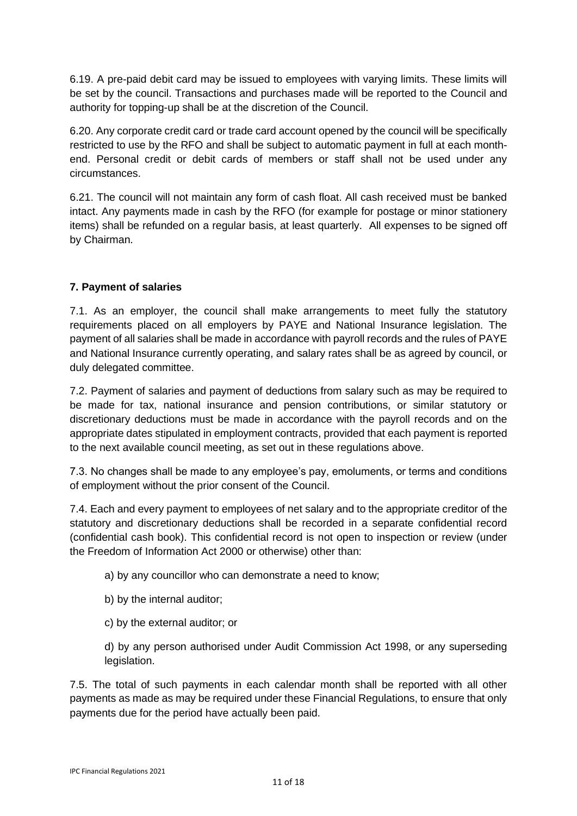6.19. A pre-paid debit card may be issued to employees with varying limits. These limits will be set by the council. Transactions and purchases made will be reported to the Council and authority for topping-up shall be at the discretion of the Council.

6.20. Any corporate credit card or trade card account opened by the council will be specifically restricted to use by the RFO and shall be subject to automatic payment in full at each monthend. Personal credit or debit cards of members or staff shall not be used under any circumstances.

6.21. The council will not maintain any form of cash float. All cash received must be banked intact. Any payments made in cash by the RFO (for example for postage or minor stationery items) shall be refunded on a regular basis, at least quarterly. All expenses to be signed off by Chairman.

# **7. Payment of salaries**

7.1. As an employer, the council shall make arrangements to meet fully the statutory requirements placed on all employers by PAYE and National Insurance legislation. The payment of all salaries shall be made in accordance with payroll records and the rules of PAYE and National Insurance currently operating, and salary rates shall be as agreed by council, or duly delegated committee.

7.2. Payment of salaries and payment of deductions from salary such as may be required to be made for tax, national insurance and pension contributions, or similar statutory or discretionary deductions must be made in accordance with the payroll records and on the appropriate dates stipulated in employment contracts, provided that each payment is reported to the next available council meeting, as set out in these regulations above.

7.3. No changes shall be made to any employee's pay, emoluments, or terms and conditions of employment without the prior consent of the Council.

7.4. Each and every payment to employees of net salary and to the appropriate creditor of the statutory and discretionary deductions shall be recorded in a separate confidential record (confidential cash book). This confidential record is not open to inspection or review (under the Freedom of Information Act 2000 or otherwise) other than:

a) by any councillor who can demonstrate a need to know;

- b) by the internal auditor;
- c) by the external auditor; or

d) by any person authorised under Audit Commission Act 1998, or any superseding legislation.

7.5. The total of such payments in each calendar month shall be reported with all other payments as made as may be required under these Financial Regulations, to ensure that only payments due for the period have actually been paid.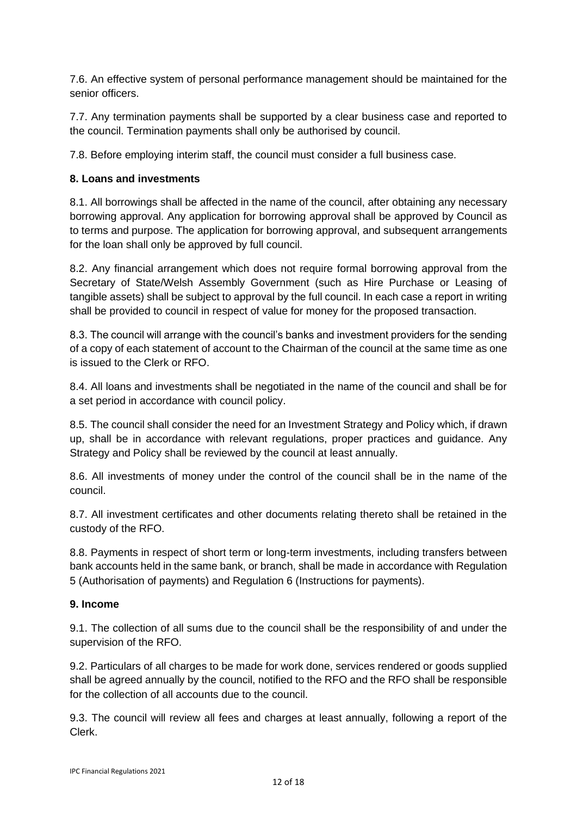7.6. An effective system of personal performance management should be maintained for the senior officers.

7.7. Any termination payments shall be supported by a clear business case and reported to the council. Termination payments shall only be authorised by council.

7.8. Before employing interim staff, the council must consider a full business case.

# **8. Loans and investments**

8.1. All borrowings shall be affected in the name of the council, after obtaining any necessary borrowing approval. Any application for borrowing approval shall be approved by Council as to terms and purpose. The application for borrowing approval, and subsequent arrangements for the loan shall only be approved by full council.

8.2. Any financial arrangement which does not require formal borrowing approval from the Secretary of State/Welsh Assembly Government (such as Hire Purchase or Leasing of tangible assets) shall be subject to approval by the full council. In each case a report in writing shall be provided to council in respect of value for money for the proposed transaction.

8.3. The council will arrange with the council's banks and investment providers for the sending of a copy of each statement of account to the Chairman of the council at the same time as one is issued to the Clerk or RFO.

8.4. All loans and investments shall be negotiated in the name of the council and shall be for a set period in accordance with council policy.

8.5. The council shall consider the need for an Investment Strategy and Policy which, if drawn up, shall be in accordance with relevant regulations, proper practices and guidance. Any Strategy and Policy shall be reviewed by the council at least annually.

8.6. All investments of money under the control of the council shall be in the name of the council.

8.7. All investment certificates and other documents relating thereto shall be retained in the custody of the RFO.

8.8. Payments in respect of short term or long-term investments, including transfers between bank accounts held in the same bank, or branch, shall be made in accordance with Regulation 5 (Authorisation of payments) and Regulation 6 (Instructions for payments).

## **9. Income**

9.1. The collection of all sums due to the council shall be the responsibility of and under the supervision of the RFO.

9.2. Particulars of all charges to be made for work done, services rendered or goods supplied shall be agreed annually by the council, notified to the RFO and the RFO shall be responsible for the collection of all accounts due to the council.

9.3. The council will review all fees and charges at least annually, following a report of the Clerk.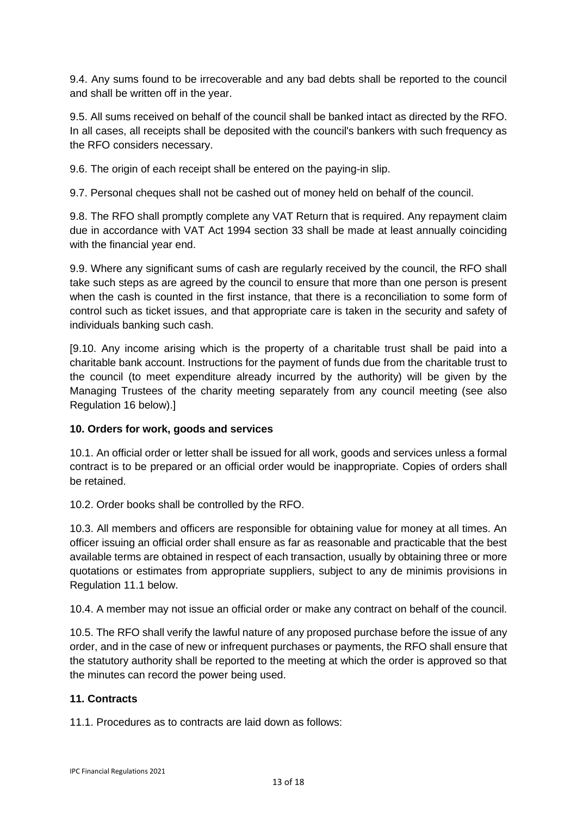9.4. Any sums found to be irrecoverable and any bad debts shall be reported to the council and shall be written off in the year.

9.5. All sums received on behalf of the council shall be banked intact as directed by the RFO. In all cases, all receipts shall be deposited with the council's bankers with such frequency as the RFO considers necessary.

9.6. The origin of each receipt shall be entered on the paying-in slip.

9.7. Personal cheques shall not be cashed out of money held on behalf of the council.

9.8. The RFO shall promptly complete any VAT Return that is required. Any repayment claim due in accordance with VAT Act 1994 section 33 shall be made at least annually coinciding with the financial year end.

9.9. Where any significant sums of cash are regularly received by the council, the RFO shall take such steps as are agreed by the council to ensure that more than one person is present when the cash is counted in the first instance, that there is a reconciliation to some form of control such as ticket issues, and that appropriate care is taken in the security and safety of individuals banking such cash.

[9.10. Any income arising which is the property of a charitable trust shall be paid into a charitable bank account. Instructions for the payment of funds due from the charitable trust to the council (to meet expenditure already incurred by the authority) will be given by the Managing Trustees of the charity meeting separately from any council meeting (see also Regulation 16 below).]

## **10. Orders for work, goods and services**

10.1. An official order or letter shall be issued for all work, goods and services unless a formal contract is to be prepared or an official order would be inappropriate. Copies of orders shall be retained.

10.2. Order books shall be controlled by the RFO.

10.3. All members and officers are responsible for obtaining value for money at all times. An officer issuing an official order shall ensure as far as reasonable and practicable that the best available terms are obtained in respect of each transaction, usually by obtaining three or more quotations or estimates from appropriate suppliers, subject to any de minimis provisions in Regulation 11.1 below.

10.4. A member may not issue an official order or make any contract on behalf of the council.

10.5. The RFO shall verify the lawful nature of any proposed purchase before the issue of any order, and in the case of new or infrequent purchases or payments, the RFO shall ensure that the statutory authority shall be reported to the meeting at which the order is approved so that the minutes can record the power being used.

## **11. Contracts**

11.1. Procedures as to contracts are laid down as follows: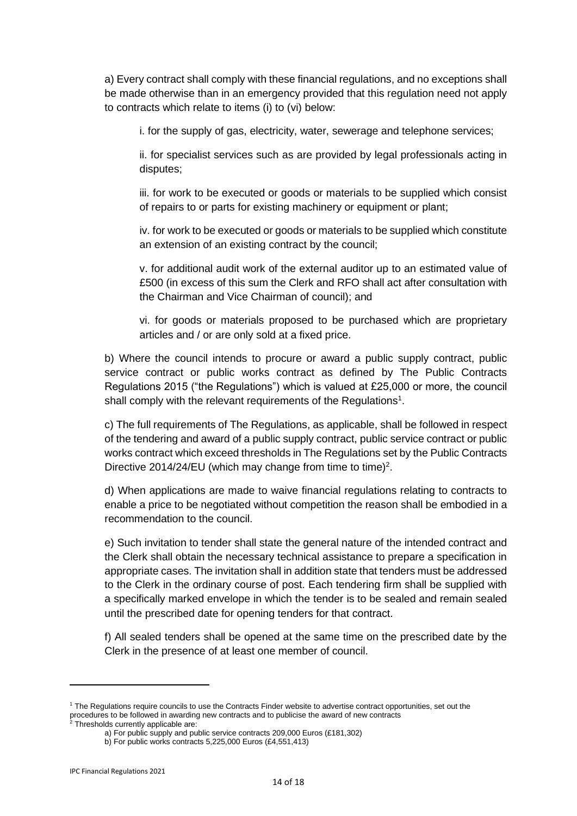a) Every contract shall comply with these financial regulations, and no exceptions shall be made otherwise than in an emergency provided that this regulation need not apply to contracts which relate to items (i) to (vi) below:

i. for the supply of gas, electricity, water, sewerage and telephone services;

ii. for specialist services such as are provided by legal professionals acting in disputes;

iii. for work to be executed or goods or materials to be supplied which consist of repairs to or parts for existing machinery or equipment or plant;

iv. for work to be executed or goods or materials to be supplied which constitute an extension of an existing contract by the council;

v. for additional audit work of the external auditor up to an estimated value of £500 (in excess of this sum the Clerk and RFO shall act after consultation with the Chairman and Vice Chairman of council); and

vi. for goods or materials proposed to be purchased which are proprietary articles and / or are only sold at a fixed price.

b) Where the council intends to procure or award a public supply contract, public service contract or public works contract as defined by The Public Contracts Regulations 2015 ("the Regulations") which is valued at £25,000 or more, the council shall comply with the relevant requirements of the Regulations<sup>1</sup>.

c) The full requirements of The Regulations, as applicable, shall be followed in respect of the tendering and award of a public supply contract, public service contract or public works contract which exceed thresholds in The Regulations set by the Public Contracts Directive 2014/24/EU (which may change from time to time)<sup>2</sup>.

d) When applications are made to waive financial regulations relating to contracts to enable a price to be negotiated without competition the reason shall be embodied in a recommendation to the council.

e) Such invitation to tender shall state the general nature of the intended contract and the Clerk shall obtain the necessary technical assistance to prepare a specification in appropriate cases. The invitation shall in addition state that tenders must be addressed to the Clerk in the ordinary course of post. Each tendering firm shall be supplied with a specifically marked envelope in which the tender is to be sealed and remain sealed until the prescribed date for opening tenders for that contract.

f) All sealed tenders shall be opened at the same time on the prescribed date by the Clerk in the presence of at least one member of council.

<sup>1</sup> The Regulations require councils to use the Contracts Finder website to advertise contract opportunities, set out the procedures to be followed in awarding new contracts and to publicise the award of new contracts

 $2$  Thresholds currently applicable are:

a) For public supply and public service contracts 209,000 Euros (£181,302)

b) For public works contracts 5,225,000 Euros (£4,551,413)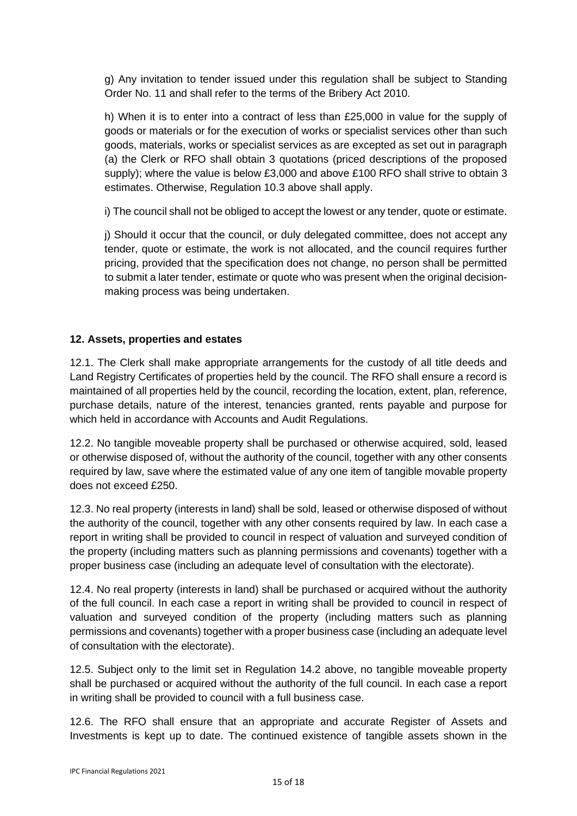g) Any invitation to tender issued under this regulation shall be subject to Standing Order No. 11 and shall refer to the terms of the Bribery Act 2010.

h) When it is to enter into a contract of less than £25,000 in value for the supply of goods or materials or for the execution of works or specialist services other than such goods, materials, works or specialist services as are excepted as set out in paragraph (a) the Clerk or RFO shall obtain 3 quotations (priced descriptions of the proposed supply); where the value is below £3,000 and above £100 RFO shall strive to obtain 3 estimates. Otherwise, Regulation 10.3 above shall apply.

i) The council shall not be obliged to accept the lowest or any tender, quote or estimate.

j) Should it occur that the council, or duly delegated committee, does not accept any tender, quote or estimate, the work is not allocated, and the council requires further pricing, provided that the specification does not change, no person shall be permitted to submit a later tender, estimate or quote who was present when the original decisionmaking process was being undertaken.

# **12. Assets, properties and estates**

12.1. The Clerk shall make appropriate arrangements for the custody of all title deeds and Land Registry Certificates of properties held by the council. The RFO shall ensure a record is maintained of all properties held by the council, recording the location, extent, plan, reference, purchase details, nature of the interest, tenancies granted, rents payable and purpose for which held in accordance with Accounts and Audit Regulations.

12.2. No tangible moveable property shall be purchased or otherwise acquired, sold, leased or otherwise disposed of, without the authority of the council, together with any other consents required by law, save where the estimated value of any one item of tangible movable property does not exceed £250.

12.3. No real property (interests in land) shall be sold, leased or otherwise disposed of without the authority of the council, together with any other consents required by law. In each case a report in writing shall be provided to council in respect of valuation and surveyed condition of the property (including matters such as planning permissions and covenants) together with a proper business case (including an adequate level of consultation with the electorate).

12.4. No real property (interests in land) shall be purchased or acquired without the authority of the full council. In each case a report in writing shall be provided to council in respect of valuation and surveyed condition of the property (including matters such as planning permissions and covenants) together with a proper business case (including an adequate level of consultation with the electorate).

12.5. Subject only to the limit set in Regulation 14.2 above, no tangible moveable property shall be purchased or acquired without the authority of the full council. In each case a report in writing shall be provided to council with a full business case.

12.6. The RFO shall ensure that an appropriate and accurate Register of Assets and Investments is kept up to date. The continued existence of tangible assets shown in the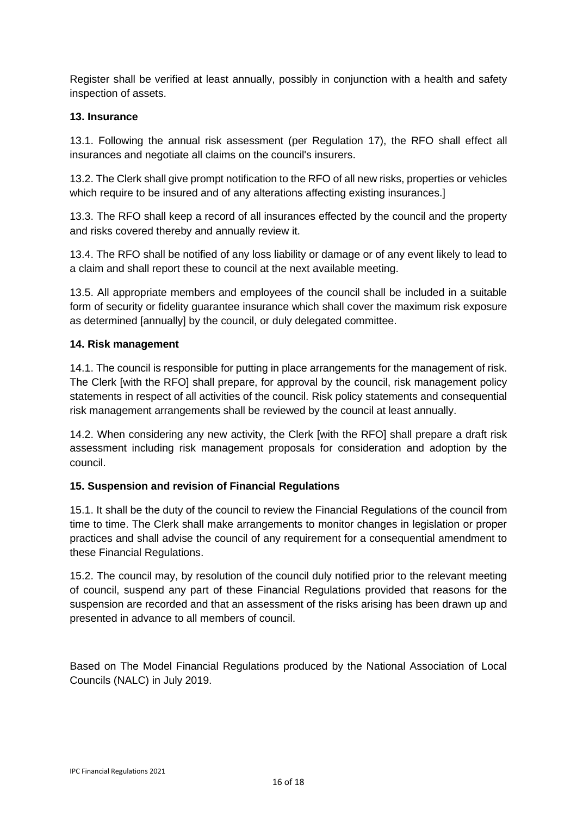Register shall be verified at least annually, possibly in conjunction with a health and safety inspection of assets.

# **13. Insurance**

13.1. Following the annual risk assessment (per Regulation 17), the RFO shall effect all insurances and negotiate all claims on the council's insurers.

13.2. The Clerk shall give prompt notification to the RFO of all new risks, properties or vehicles which require to be insured and of any alterations affecting existing insurances.]

13.3. The RFO shall keep a record of all insurances effected by the council and the property and risks covered thereby and annually review it.

13.4. The RFO shall be notified of any loss liability or damage or of any event likely to lead to a claim and shall report these to council at the next available meeting.

13.5. All appropriate members and employees of the council shall be included in a suitable form of security or fidelity guarantee insurance which shall cover the maximum risk exposure as determined [annually] by the council, or duly delegated committee.

## **14. Risk management**

14.1. The council is responsible for putting in place arrangements for the management of risk. The Clerk [with the RFO] shall prepare, for approval by the council, risk management policy statements in respect of all activities of the council. Risk policy statements and consequential risk management arrangements shall be reviewed by the council at least annually.

14.2. When considering any new activity, the Clerk [with the RFO] shall prepare a draft risk assessment including risk management proposals for consideration and adoption by the council.

# **15. Suspension and revision of Financial Regulations**

15.1. It shall be the duty of the council to review the Financial Regulations of the council from time to time. The Clerk shall make arrangements to monitor changes in legislation or proper practices and shall advise the council of any requirement for a consequential amendment to these Financial Regulations.

15.2. The council may, by resolution of the council duly notified prior to the relevant meeting of council, suspend any part of these Financial Regulations provided that reasons for the suspension are recorded and that an assessment of the risks arising has been drawn up and presented in advance to all members of council.

Based on The Model Financial Regulations produced by the National Association of Local Councils (NALC) in July 2019.